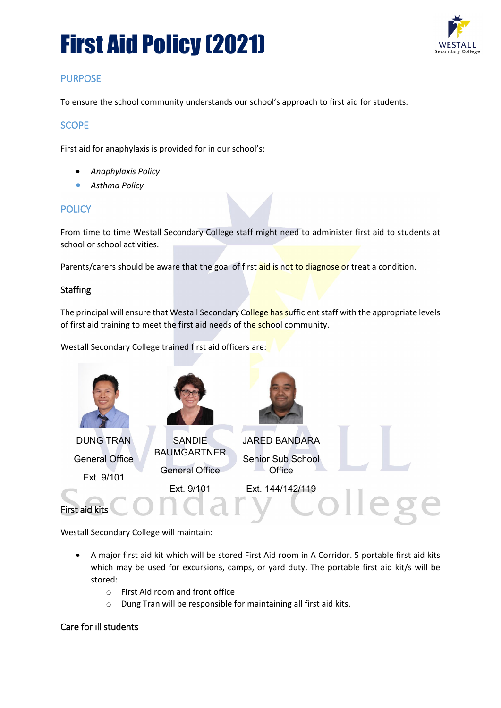# First Aid Policy (2021)



# **PURPOSE**

To ensure the school community understands our school's approach to first aid for students.

## **SCOPE**

First aid for anaphylaxis is provided for in our school's:

- *Anaphylaxis Policy*
- *Asthma Policy*

### **POLICY**

From time to time Westall Secondary College staff might need to administer first aid to students at school or school activities.

Parents/carers should be aware that the goal of first aid is not to diagnose or treat a condition.

#### **Staffing**

The principal will ensure that Westall Secondary College has sufficient staff with the appropriate levels of first aid training to meet the first aid needs of the school community.

Westall Secondary College trained first aid officers are:



Westall Secondary College will maintain:

- A major first aid kit which will be stored First Aid room in A Corridor. 5 portable first aid kits which may be used for excursions, camps, or yard duty. The portable first aid kit/s will be stored:
	- o First Aid room and front office
	- o Dung Tran will be responsible for maintaining all first aid kits.

#### Care for ill students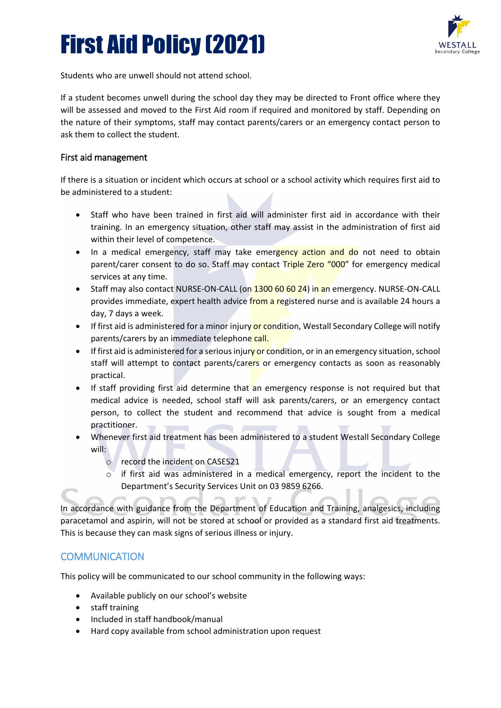# First Aid Policy (2021)



Students who are unwell should not attend school.

If a student becomes unwell during the school day they may be directed to Front office where they will be assessed and moved to the First Aid room if required and monitored by staff. Depending on the nature of their symptoms, staff may contact parents/carers or an emergency contact person to ask them to collect the student.

#### First aid management

If there is a situation or incident which occurs at school or a school activity which requires first aid to be administered to a student:

- Staff who have been trained in first aid will administer first aid in accordance with their training. In an emergency situation, other staff may assist in the administration of first aid within their level of competence.
- In a medical emergency, staff may take emergency action and do not need to obtain parent/carer consent to do so. Staff may contact Triple Zero "000" for emergency medical services at any time.
- Staff may also contact NURSE-ON-CALL (on 1300 60 60 24) in an emergency. NURSE-ON-CALL provides immediate, expert health advice from a registered nurse and is available 24 hours a day, 7 days a week.
- If first aid is administered for a minor injury or condition, Westall Secondary College will notify parents/carers by an immediate telephone call.
- If first aid is administered for a serious injury or condition, or in an emergency situation, school staff will attempt to contact parents/carers or emergency contacts as soon as reasonably practical.
- If staff providing first aid determine that an emergency response is not required but that medical advice is needed, school staff will ask parents/carers, or an emergency contact person, to collect the student and recommend that advice is sought from a medical practitioner.
- Whenever first aid treatment has been administered to a student Westall Secondary College will:
	- o record the incident on CASES21
	- $\circ$  if first aid was administered in a medical emergency, report the incident to the Department's Security Services Unit on 03 9859 6266.

In accordance with guidance from the Department of Education and Training, analgesics, including paracetamol and aspirin, will not be stored at school or provided as a standard first aid treatments. This is because they can mask signs of serious illness or injury.

## **COMMUNICATION**

This policy will be communicated to our school community in the following ways:

- Available publicly on our school's website
- staff training
- Included in staff handbook/manual
- Hard copy available from school administration upon request